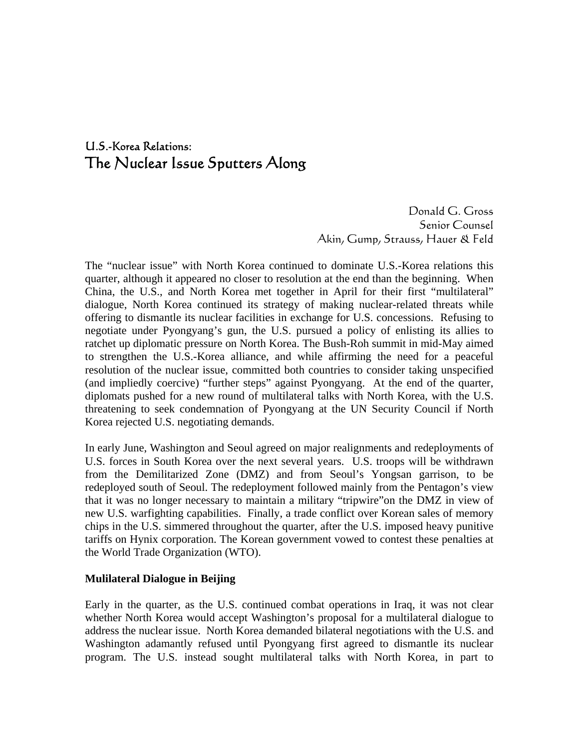# U.S.-Korea Relations: The Nuclear Issue Sputters Along

Donald G. Gross Senior Counsel Akin, Gump, Strauss, Hauer & Feld

The "nuclear issue" with North Korea continued to dominate U.S.-Korea relations this quarter, although it appeared no closer to resolution at the end than the beginning. When China, the U.S., and North Korea met together in April for their first "multilateral" dialogue, North Korea continued its strategy of making nuclear-related threats while offering to dismantle its nuclear facilities in exchange for U.S. concessions. Refusing to negotiate under Pyongyang's gun, the U.S. pursued a policy of enlisting its allies to ratchet up diplomatic pressure on North Korea. The Bush-Roh summit in mid-May aimed to strengthen the U.S.-Korea alliance, and while affirming the need for a peaceful resolution of the nuclear issue, committed both countries to consider taking unspecified (and impliedly coercive) "further steps" against Pyongyang. At the end of the quarter, diplomats pushed for a new round of multilateral talks with North Korea, with the U.S. threatening to seek condemnation of Pyongyang at the UN Security Council if North Korea rejected U.S. negotiating demands.

In early June, Washington and Seoul agreed on major realignments and redeployments of U.S. forces in South Korea over the next several years. U.S. troops will be withdrawn from the Demilitarized Zone (DMZ) and from Seoul's Yongsan garrison, to be redeployed south of Seoul. The redeployment followed mainly from the Pentagon's view that it was no longer necessary to maintain a military "tripwire"on the DMZ in view of new U.S. warfighting capabilities. Finally, a trade conflict over Korean sales of memory chips in the U.S. simmered throughout the quarter, after the U.S. imposed heavy punitive tariffs on Hynix corporation. The Korean government vowed to contest these penalties at the World Trade Organization (WTO).

### **Mulilateral Dialogue in Beijing**

Early in the quarter, as the U.S. continued combat operations in Iraq, it was not clear whether North Korea would accept Washington's proposal for a multilateral dialogue to address the nuclear issue. North Korea demanded bilateral negotiations with the U.S. and Washington adamantly refused until Pyongyang first agreed to dismantle its nuclear program. The U.S. instead sought multilateral talks with North Korea, in part to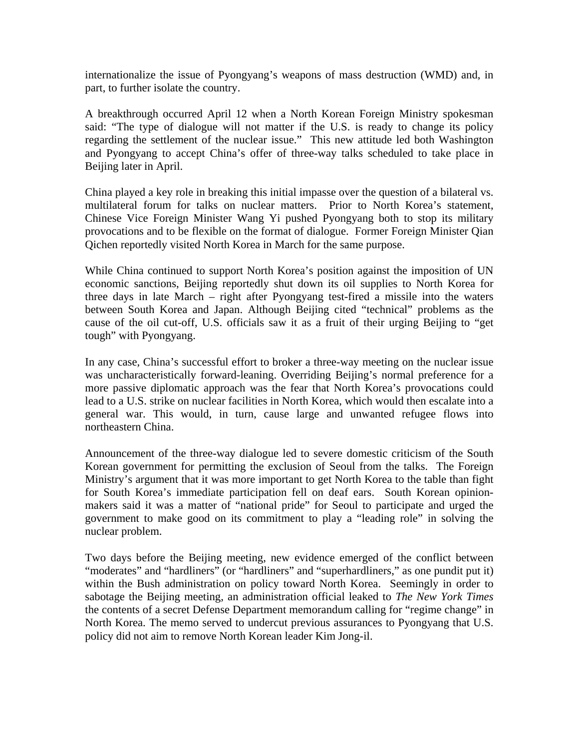internationalize the issue of Pyongyang's weapons of mass destruction (WMD) and, in part, to further isolate the country.

A breakthrough occurred April 12 when a North Korean Foreign Ministry spokesman said: "The type of dialogue will not matter if the U.S. is ready to change its policy regarding the settlement of the nuclear issue." This new attitude led both Washington and Pyongyang to accept China's offer of three-way talks scheduled to take place in Beijing later in April.

China played a key role in breaking this initial impasse over the question of a bilateral vs. multilateral forum for talks on nuclear matters. Prior to North Korea's statement, Chinese Vice Foreign Minister Wang Yi pushed Pyongyang both to stop its military provocations and to be flexible on the format of dialogue. Former Foreign Minister Qian Qichen reportedly visited North Korea in March for the same purpose.

While China continued to support North Korea's position against the imposition of UN economic sanctions, Beijing reportedly shut down its oil supplies to North Korea for three days in late March – right after Pyongyang test-fired a missile into the waters between South Korea and Japan. Although Beijing cited "technical" problems as the cause of the oil cut-off, U.S. officials saw it as a fruit of their urging Beijing to "get tough" with Pyongyang.

In any case, China's successful effort to broker a three-way meeting on the nuclear issue was uncharacteristically forward-leaning. Overriding Beijing's normal preference for a more passive diplomatic approach was the fear that North Korea's provocations could lead to a U.S. strike on nuclear facilities in North Korea, which would then escalate into a general war. This would, in turn, cause large and unwanted refugee flows into northeastern China.

Announcement of the three-way dialogue led to severe domestic criticism of the South Korean government for permitting the exclusion of Seoul from the talks. The Foreign Ministry's argument that it was more important to get North Korea to the table than fight for South Korea's immediate participation fell on deaf ears. South Korean opinionmakers said it was a matter of "national pride" for Seoul to participate and urged the government to make good on its commitment to play a "leading role" in solving the nuclear problem.

Two days before the Beijing meeting, new evidence emerged of the conflict between "moderates" and "hardliners" (or "hardliners" and "superhardliners," as one pundit put it) within the Bush administration on policy toward North Korea. Seemingly in order to sabotage the Beijing meeting, an administration official leaked to *The New York Times* the contents of a secret Defense Department memorandum calling for "regime change" in North Korea. The memo served to undercut previous assurances to Pyongyang that U.S. policy did not aim to remove North Korean leader Kim Jong-il.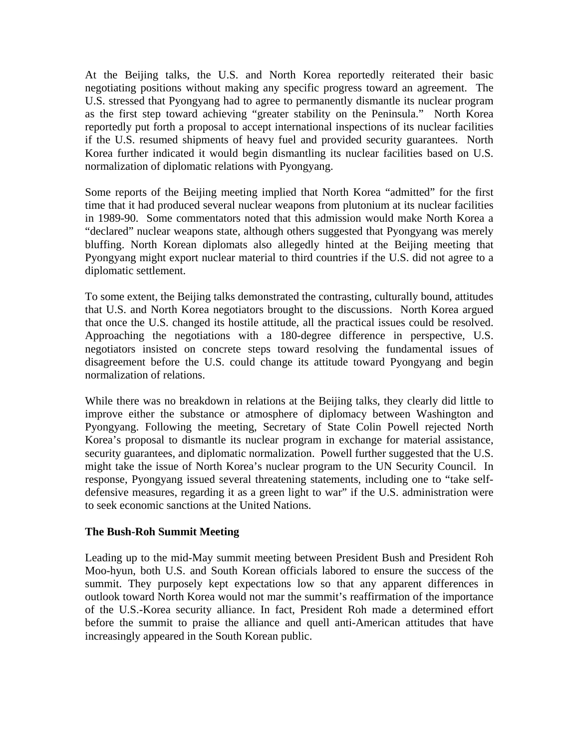At the Beijing talks, the U.S. and North Korea reportedly reiterated their basic negotiating positions without making any specific progress toward an agreement. The U.S. stressed that Pyongyang had to agree to permanently dismantle its nuclear program as the first step toward achieving "greater stability on the Peninsula." North Korea reportedly put forth a proposal to accept international inspections of its nuclear facilities if the U.S. resumed shipments of heavy fuel and provided security guarantees. North Korea further indicated it would begin dismantling its nuclear facilities based on U.S. normalization of diplomatic relations with Pyongyang.

Some reports of the Beijing meeting implied that North Korea "admitted" for the first time that it had produced several nuclear weapons from plutonium at its nuclear facilities in 1989-90. Some commentators noted that this admission would make North Korea a "declared" nuclear weapons state, although others suggested that Pyongyang was merely bluffing. North Korean diplomats also allegedly hinted at the Beijing meeting that Pyongyang might export nuclear material to third countries if the U.S. did not agree to a diplomatic settlement.

To some extent, the Beijing talks demonstrated the contrasting, culturally bound, attitudes that U.S. and North Korea negotiators brought to the discussions. North Korea argued that once the U.S. changed its hostile attitude, all the practical issues could be resolved. Approaching the negotiations with a 180-degree difference in perspective, U.S. negotiators insisted on concrete steps toward resolving the fundamental issues of disagreement before the U.S. could change its attitude toward Pyongyang and begin normalization of relations.

While there was no breakdown in relations at the Beijing talks, they clearly did little to improve either the substance or atmosphere of diplomacy between Washington and Pyongyang. Following the meeting, Secretary of State Colin Powell rejected North Korea's proposal to dismantle its nuclear program in exchange for material assistance, security guarantees, and diplomatic normalization. Powell further suggested that the U.S. might take the issue of North Korea's nuclear program to the UN Security Council. In response, Pyongyang issued several threatening statements, including one to "take selfdefensive measures, regarding it as a green light to war" if the U.S. administration were to seek economic sanctions at the United Nations.

### **The Bush-Roh Summit Meeting**

Leading up to the mid-May summit meeting between President Bush and President Roh Moo-hyun, both U.S. and South Korean officials labored to ensure the success of the summit. They purposely kept expectations low so that any apparent differences in outlook toward North Korea would not mar the summit's reaffirmation of the importance of the U.S.-Korea security alliance. In fact, President Roh made a determined effort before the summit to praise the alliance and quell anti-American attitudes that have increasingly appeared in the South Korean public.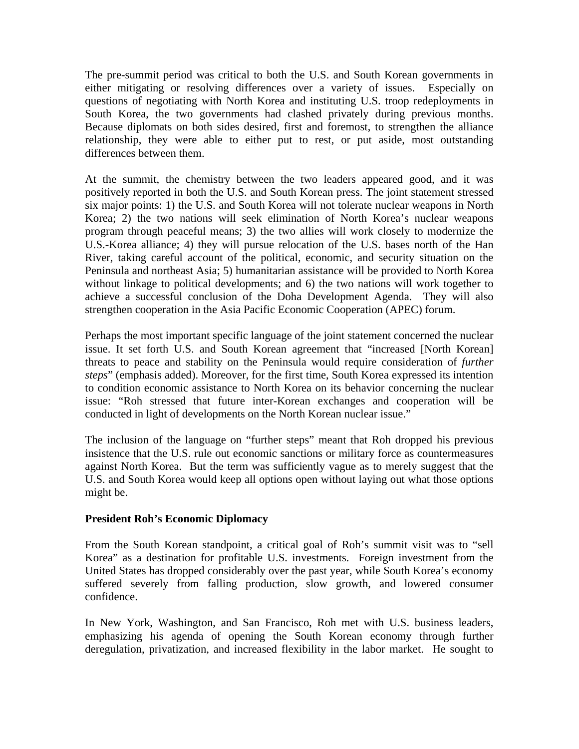The pre-summit period was critical to both the U.S. and South Korean governments in either mitigating or resolving differences over a variety of issues. Especially on questions of negotiating with North Korea and instituting U.S. troop redeployments in South Korea, the two governments had clashed privately during previous months. Because diplomats on both sides desired, first and foremost, to strengthen the alliance relationship, they were able to either put to rest, or put aside, most outstanding differences between them.

At the summit, the chemistry between the two leaders appeared good, and it was positively reported in both the U.S. and South Korean press. The joint statement stressed six major points: 1) the U.S. and South Korea will not tolerate nuclear weapons in North Korea; 2) the two nations will seek elimination of North Korea's nuclear weapons program through peaceful means; 3) the two allies will work closely to modernize the U.S.-Korea alliance; 4) they will pursue relocation of the U.S. bases north of the Han River, taking careful account of the political, economic, and security situation on the Peninsula and northeast Asia; 5) humanitarian assistance will be provided to North Korea without linkage to political developments; and 6) the two nations will work together to achieve a successful conclusion of the Doha Development Agenda. They will also strengthen cooperation in the Asia Pacific Economic Cooperation (APEC) forum.

Perhaps the most important specific language of the joint statement concerned the nuclear issue. It set forth U.S. and South Korean agreement that "increased [North Korean] threats to peace and stability on the Peninsula would require consideration of *further steps*" (emphasis added). Moreover, for the first time, South Korea expressed its intention to condition economic assistance to North Korea on its behavior concerning the nuclear issue: "Roh stressed that future inter-Korean exchanges and cooperation will be conducted in light of developments on the North Korean nuclear issue."

The inclusion of the language on "further steps" meant that Roh dropped his previous insistence that the U.S. rule out economic sanctions or military force as countermeasures against North Korea. But the term was sufficiently vague as to merely suggest that the U.S. and South Korea would keep all options open without laying out what those options might be.

# **President Roh's Economic Diplomacy**

From the South Korean standpoint, a critical goal of Roh's summit visit was to "sell Korea" as a destination for profitable U.S. investments. Foreign investment from the United States has dropped considerably over the past year, while South Korea's economy suffered severely from falling production, slow growth, and lowered consumer confidence.

In New York, Washington, and San Francisco, Roh met with U.S. business leaders, emphasizing his agenda of opening the South Korean economy through further deregulation, privatization, and increased flexibility in the labor market. He sought to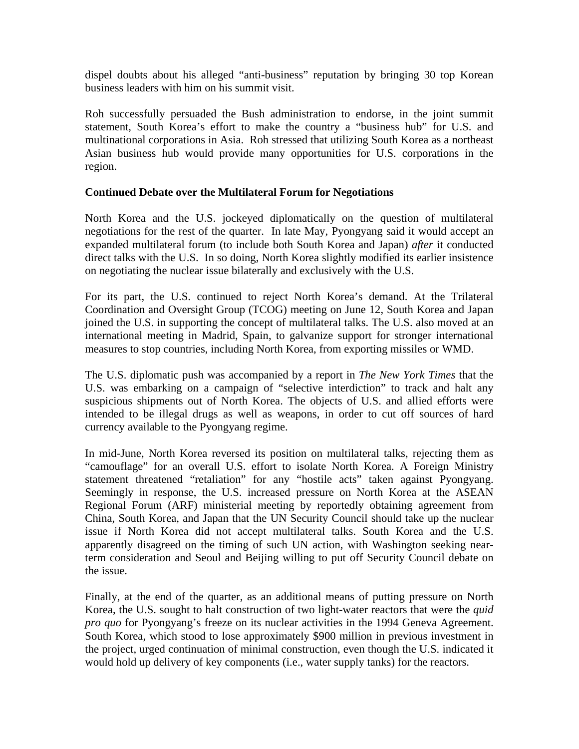dispel doubts about his alleged "anti-business" reputation by bringing 30 top Korean business leaders with him on his summit visit.

Roh successfully persuaded the Bush administration to endorse, in the joint summit statement, South Korea's effort to make the country a "business hub" for U.S. and multinational corporations in Asia. Roh stressed that utilizing South Korea as a northeast Asian business hub would provide many opportunities for U.S. corporations in the region.

# **Continued Debate over the Multilateral Forum for Negotiations**

North Korea and the U.S. jockeyed diplomatically on the question of multilateral negotiations for the rest of the quarter. In late May, Pyongyang said it would accept an expanded multilateral forum (to include both South Korea and Japan) *after* it conducted direct talks with the U.S. In so doing, North Korea slightly modified its earlier insistence on negotiating the nuclear issue bilaterally and exclusively with the U.S.

For its part, the U.S. continued to reject North Korea's demand. At the Trilateral Coordination and Oversight Group (TCOG) meeting on June 12, South Korea and Japan joined the U.S. in supporting the concept of multilateral talks. The U.S. also moved at an international meeting in Madrid, Spain, to galvanize support for stronger international measures to stop countries, including North Korea, from exporting missiles or WMD.

The U.S. diplomatic push was accompanied by a report in *The New York Times* that the U.S. was embarking on a campaign of "selective interdiction" to track and halt any suspicious shipments out of North Korea. The objects of U.S. and allied efforts were intended to be illegal drugs as well as weapons, in order to cut off sources of hard currency available to the Pyongyang regime.

In mid-June, North Korea reversed its position on multilateral talks, rejecting them as "camouflage" for an overall U.S. effort to isolate North Korea. A Foreign Ministry statement threatened "retaliation" for any "hostile acts" taken against Pyongyang. Seemingly in response, the U.S. increased pressure on North Korea at the ASEAN Regional Forum (ARF) ministerial meeting by reportedly obtaining agreement from China, South Korea, and Japan that the UN Security Council should take up the nuclear issue if North Korea did not accept multilateral talks. South Korea and the U.S. apparently disagreed on the timing of such UN action, with Washington seeking nearterm consideration and Seoul and Beijing willing to put off Security Council debate on the issue.

Finally, at the end of the quarter, as an additional means of putting pressure on North Korea, the U.S. sought to halt construction of two light-water reactors that were the *quid pro quo* for Pyongyang's freeze on its nuclear activities in the 1994 Geneva Agreement. South Korea, which stood to lose approximately \$900 million in previous investment in the project, urged continuation of minimal construction, even though the U.S. indicated it would hold up delivery of key components (i.e., water supply tanks) for the reactors.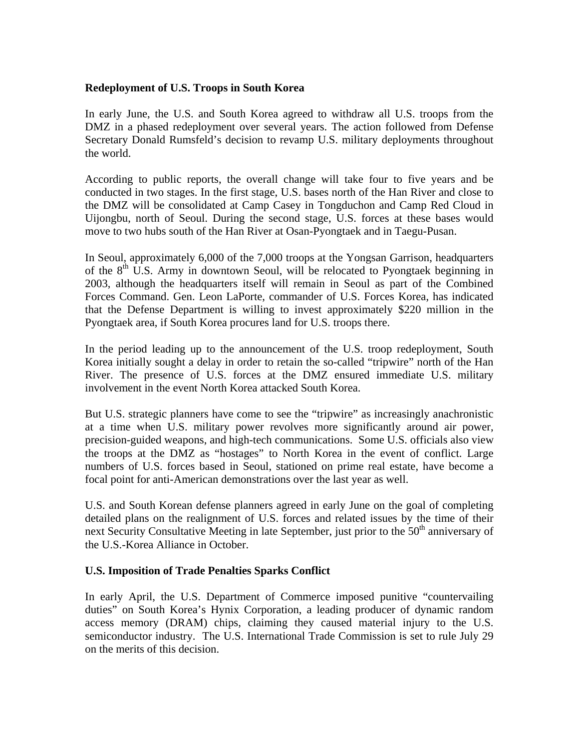# **Redeployment of U.S. Troops in South Korea**

In early June, the U.S. and South Korea agreed to withdraw all U.S. troops from the DMZ in a phased redeployment over several years. The action followed from Defense Secretary Donald Rumsfeld's decision to revamp U.S. military deployments throughout the world.

According to public reports, the overall change will take four to five years and be conducted in two stages. In the first stage, U.S. bases north of the Han River and close to the DMZ will be consolidated at Camp Casey in Tongduchon and Camp Red Cloud in Uijongbu, north of Seoul. During the second stage, U.S. forces at these bases would move to two hubs south of the Han River at Osan-Pyongtaek and in Taegu-Pusan.

In Seoul, approximately 6,000 of the 7,000 troops at the Yongsan Garrison, headquarters of the  $8<sup>th</sup>$  U.S. Army in downtown Seoul, will be relocated to Pyongtaek beginning in 2003, although the headquarters itself will remain in Seoul as part of the Combined Forces Command. Gen. Leon LaPorte, commander of U.S. Forces Korea, has indicated that the Defense Department is willing to invest approximately \$220 million in the Pyongtaek area, if South Korea procures land for U.S. troops there.

In the period leading up to the announcement of the U.S. troop redeployment, South Korea initially sought a delay in order to retain the so-called "tripwire" north of the Han River. The presence of U.S. forces at the DMZ ensured immediate U.S. military involvement in the event North Korea attacked South Korea.

But U.S. strategic planners have come to see the "tripwire" as increasingly anachronistic at a time when U.S. military power revolves more significantly around air power, precision-guided weapons, and high-tech communications. Some U.S. officials also view the troops at the DMZ as "hostages" to North Korea in the event of conflict. Large numbers of U.S. forces based in Seoul, stationed on prime real estate, have become a focal point for anti-American demonstrations over the last year as well.

U.S. and South Korean defense planners agreed in early June on the goal of completing detailed plans on the realignment of U.S. forces and related issues by the time of their next Security Consultative Meeting in late September, just prior to the  $50<sup>th</sup>$  anniversary of the U.S.-Korea Alliance in October.

### **U.S. Imposition of Trade Penalties Sparks Conflict**

In early April, the U.S. Department of Commerce imposed punitive "countervailing duties" on South Korea's Hynix Corporation, a leading producer of dynamic random access memory (DRAM) chips, claiming they caused material injury to the U.S. semiconductor industry. The U.S. International Trade Commission is set to rule July 29 on the merits of this decision.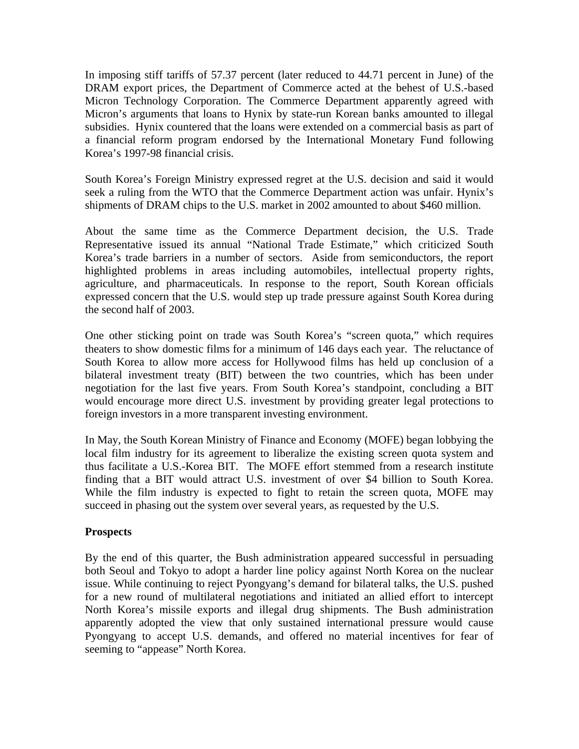In imposing stiff tariffs of 57.37 percent (later reduced to 44.71 percent in June) of the DRAM export prices, the Department of Commerce acted at the behest of U.S.-based Micron Technology Corporation. The Commerce Department apparently agreed with Micron's arguments that loans to Hynix by state-run Korean banks amounted to illegal subsidies. Hynix countered that the loans were extended on a commercial basis as part of a financial reform program endorsed by the International Monetary Fund following Korea's 1997-98 financial crisis.

South Korea's Foreign Ministry expressed regret at the U.S. decision and said it would seek a ruling from the WTO that the Commerce Department action was unfair. Hynix's shipments of DRAM chips to the U.S. market in 2002 amounted to about \$460 million.

About the same time as the Commerce Department decision, the U.S. Trade Representative issued its annual "National Trade Estimate," which criticized South Korea's trade barriers in a number of sectors. Aside from semiconductors, the report highlighted problems in areas including automobiles, intellectual property rights, agriculture, and pharmaceuticals. In response to the report, South Korean officials expressed concern that the U.S. would step up trade pressure against South Korea during the second half of 2003.

One other sticking point on trade was South Korea's "screen quota," which requires theaters to show domestic films for a minimum of 146 days each year. The reluctance of South Korea to allow more access for Hollywood films has held up conclusion of a bilateral investment treaty (BIT) between the two countries, which has been under negotiation for the last five years. From South Korea's standpoint, concluding a BIT would encourage more direct U.S. investment by providing greater legal protections to foreign investors in a more transparent investing environment.

In May, the South Korean Ministry of Finance and Economy (MOFE) began lobbying the local film industry for its agreement to liberalize the existing screen quota system and thus facilitate a U.S.-Korea BIT. The MOFE effort stemmed from a research institute finding that a BIT would attract U.S. investment of over \$4 billion to South Korea. While the film industry is expected to fight to retain the screen quota, MOFE may succeed in phasing out the system over several years, as requested by the U.S.

### **Prospects**

By the end of this quarter, the Bush administration appeared successful in persuading both Seoul and Tokyo to adopt a harder line policy against North Korea on the nuclear issue. While continuing to reject Pyongyang's demand for bilateral talks, the U.S. pushed for a new round of multilateral negotiations and initiated an allied effort to intercept North Korea's missile exports and illegal drug shipments. The Bush administration apparently adopted the view that only sustained international pressure would cause Pyongyang to accept U.S. demands, and offered no material incentives for fear of seeming to "appease" North Korea.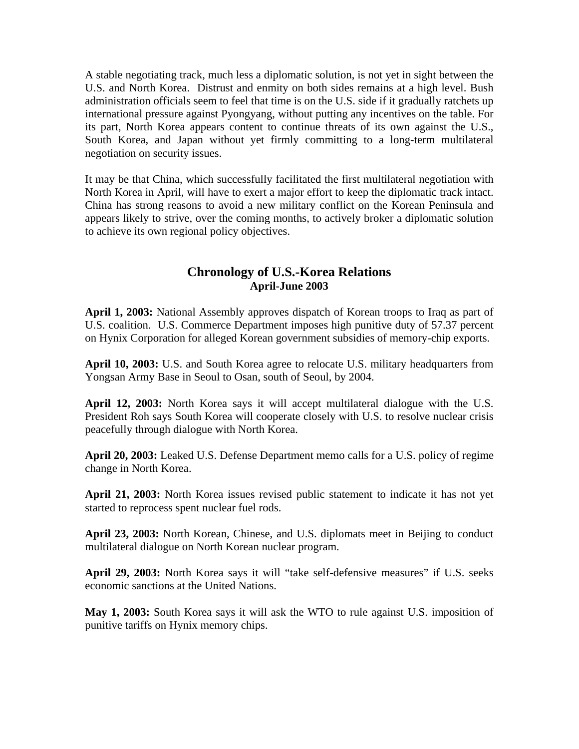A stable negotiating track, much less a diplomatic solution, is not yet in sight between the U.S. and North Korea. Distrust and enmity on both sides remains at a high level. Bush administration officials seem to feel that time is on the U.S. side if it gradually ratchets up international pressure against Pyongyang, without putting any incentives on the table. For its part, North Korea appears content to continue threats of its own against the U.S., South Korea, and Japan without yet firmly committing to a long-term multilateral negotiation on security issues.

It may be that China, which successfully facilitated the first multilateral negotiation with North Korea in April, will have to exert a major effort to keep the diplomatic track intact. China has strong reasons to avoid a new military conflict on the Korean Peninsula and appears likely to strive, over the coming months, to actively broker a diplomatic solution to achieve its own regional policy objectives.

# **Chronology of U.S.-Korea Relations April-June 2003**

**April 1, 2003:** National Assembly approves dispatch of Korean troops to Iraq as part of U.S. coalition. U.S. Commerce Department imposes high punitive duty of 57.37 percent on Hynix Corporation for alleged Korean government subsidies of memory-chip exports.

**April 10, 2003:** U.S. and South Korea agree to relocate U.S. military headquarters from Yongsan Army Base in Seoul to Osan, south of Seoul, by 2004.

**April 12, 2003:** North Korea says it will accept multilateral dialogue with the U.S. President Roh says South Korea will cooperate closely with U.S. to resolve nuclear crisis peacefully through dialogue with North Korea.

**April 20, 2003:** Leaked U.S. Defense Department memo calls for a U.S. policy of regime change in North Korea.

**April 21, 2003:** North Korea issues revised public statement to indicate it has not yet started to reprocess spent nuclear fuel rods.

**April 23, 2003:** North Korean, Chinese, and U.S. diplomats meet in Beijing to conduct multilateral dialogue on North Korean nuclear program.

**April 29, 2003:** North Korea says it will "take self-defensive measures" if U.S. seeks economic sanctions at the United Nations.

**May 1, 2003:** South Korea says it will ask the WTO to rule against U.S. imposition of punitive tariffs on Hynix memory chips.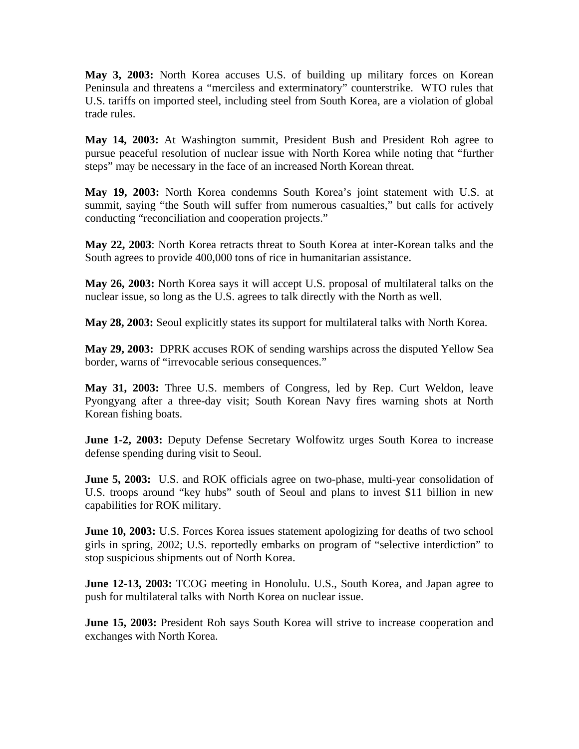**May 3, 2003:** North Korea accuses U.S. of building up military forces on Korean Peninsula and threatens a "merciless and exterminatory" counterstrike. WTO rules that U.S. tariffs on imported steel, including steel from South Korea, are a violation of global trade rules.

**May 14, 2003:** At Washington summit, President Bush and President Roh agree to pursue peaceful resolution of nuclear issue with North Korea while noting that "further steps" may be necessary in the face of an increased North Korean threat.

**May 19, 2003:** North Korea condemns South Korea's joint statement with U.S. at summit, saying "the South will suffer from numerous casualties," but calls for actively conducting "reconciliation and cooperation projects."

**May 22, 2003**: North Korea retracts threat to South Korea at inter-Korean talks and the South agrees to provide 400,000 tons of rice in humanitarian assistance.

**May 26, 2003:** North Korea says it will accept U.S. proposal of multilateral talks on the nuclear issue, so long as the U.S. agrees to talk directly with the North as well.

**May 28, 2003:** Seoul explicitly states its support for multilateral talks with North Korea.

**May 29, 2003:** DPRK accuses ROK of sending warships across the disputed Yellow Sea border, warns of "irrevocable serious consequences."

**May 31, 2003:** Three U.S. members of Congress, led by Rep. Curt Weldon, leave Pyongyang after a three-day visit; South Korean Navy fires warning shots at North Korean fishing boats.

**June 1-2, 2003:** Deputy Defense Secretary Wolfowitz urges South Korea to increase defense spending during visit to Seoul.

**June 5, 2003:** U.S. and ROK officials agree on two-phase, multi-year consolidation of U.S. troops around "key hubs" south of Seoul and plans to invest \$11 billion in new capabilities for ROK military.

**June 10, 2003:** U.S. Forces Korea issues statement apologizing for deaths of two school girls in spring, 2002; U.S. reportedly embarks on program of "selective interdiction" to stop suspicious shipments out of North Korea.

**June 12-13, 2003:** TCOG meeting in Honolulu. U.S., South Korea, and Japan agree to push for multilateral talks with North Korea on nuclear issue.

**June 15, 2003:** President Roh says South Korea will strive to increase cooperation and exchanges with North Korea.